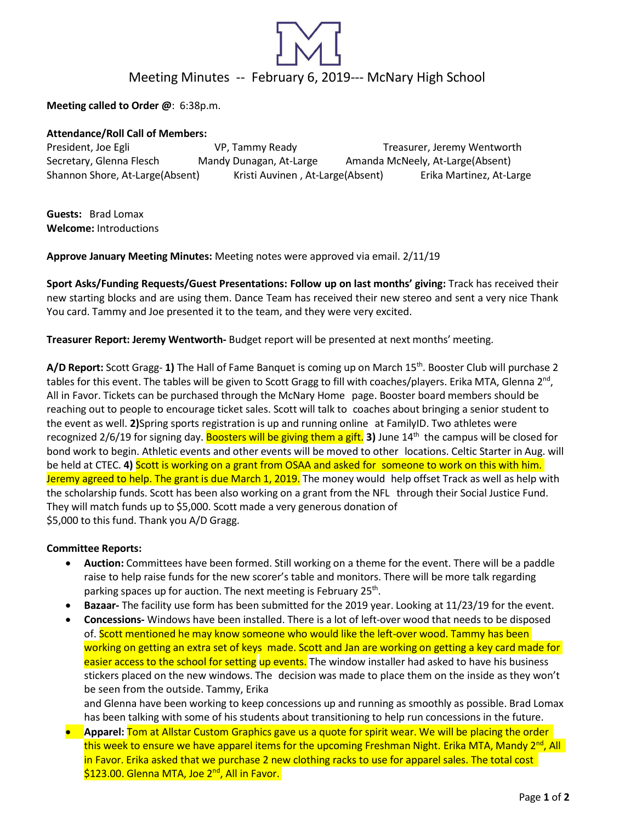

**Meeting called to Order @**: 6:38p.m.

#### **Attendance/Roll Call of Members:**

President, Joe Egli **State Commentary Comments** VP, Tammy Ready Treasurer, Jeremy Wentworth Secretary, Glenna Flesch Mandy Dunagan, At-Large Amanda McNeely, At-Large(Absent) Shannon Shore, At-Large(Absent) Kristi Auvinen , At-Large(Absent) Erika Martinez, At-Large

**Guests:** Brad Lomax **Welcome:** Introductions

**Approve January Meeting Minutes:** Meeting notes were approved via email. 2/11/19

**Sport Asks/Funding Requests/Guest Presentations: Follow up on last months' giving:** Track has received their new starting blocks and are using them. Dance Team has received their new stereo and sent a very nice Thank You card. Tammy and Joe presented it to the team, and they were very excited.

**Treasurer Report: Jeremy Wentworth-** Budget report will be presented at next months' meeting.

**A/D Report:** Scott Gragg- **1)** The Hall of Fame Banquet is coming up on March 15th. Booster Club will purchase 2 tables for this event. The tables will be given to Scott Gragg to fill with coaches/players. Erika MTA, Glenna 2<sup>nd</sup>, All in Favor. Tickets can be purchased through the McNary Home page. Booster board members should be reaching out to people to encourage ticket sales. Scott will talk to coaches about bringing a senior student to the event as well. **2)**Spring sports registration is up and running online at FamilyID. Two athletes were recognized 2/6/19 for signing day. Boosters will be giving them a gift. **3**) June 14<sup>th</sup> the campus will be closed for bond work to begin. Athletic events and other events will be moved to other locations. Celtic Starter in Aug. will be held at CTEC. **4)** Scott is working on a grant from OSAA and asked for someone to work on this with him. Jeremy agreed to help. The grant is due March 1, 2019. The money would help offset Track as well as help with the scholarship funds. Scott has been also working on a grant from the NFL through their Social Justice Fund. They will match funds up to \$5,000. Scott made a very generous donation of \$5,000 to this fund. Thank you A/D Gragg.

### **Committee Reports:**

- **Auction:** Committees have been formed. Still working on a theme for the event. There will be a paddle raise to help raise funds for the new scorer's table and monitors. There will be more talk regarding parking spaces up for auction. The next meeting is February 25<sup>th</sup>.
- **Bazaar-** The facility use form has been submitted for the 2019 year. Looking at 11/23/19 for the event.
- **Concessions-** Windows have been installed. There is a lot of left-over wood that needs to be disposed of. Scott mentioned he may know someone who would like the left-over wood. Tammy has been working on getting an extra set of keys made. Scott and Jan are working on getting a key card made for easier access to the school for setting up events. The window installer had asked to have his business stickers placed on the new windows. The decision was made to place them on the inside as they won't be seen from the outside. Tammy, Erika

and Glenna have been working to keep concessions up and running as smoothly as possible. Brad Lomax has been talking with some of his students about transitioning to help run concessions in the future.

• **Apparel:** Tom at Allstar Custom Graphics gave us a quote for spirit wear. We will be placing the order this week to ensure we have apparel items for the upcoming Freshman Night. Erika MTA, Mandy 2<sup>nd</sup>, All in Favor. Erika asked that we purchase 2 new clothing racks to use for apparel sales. The total cost \$123.00. Glenna MTA, Joe 2<sup>nd</sup>, All in Favor.